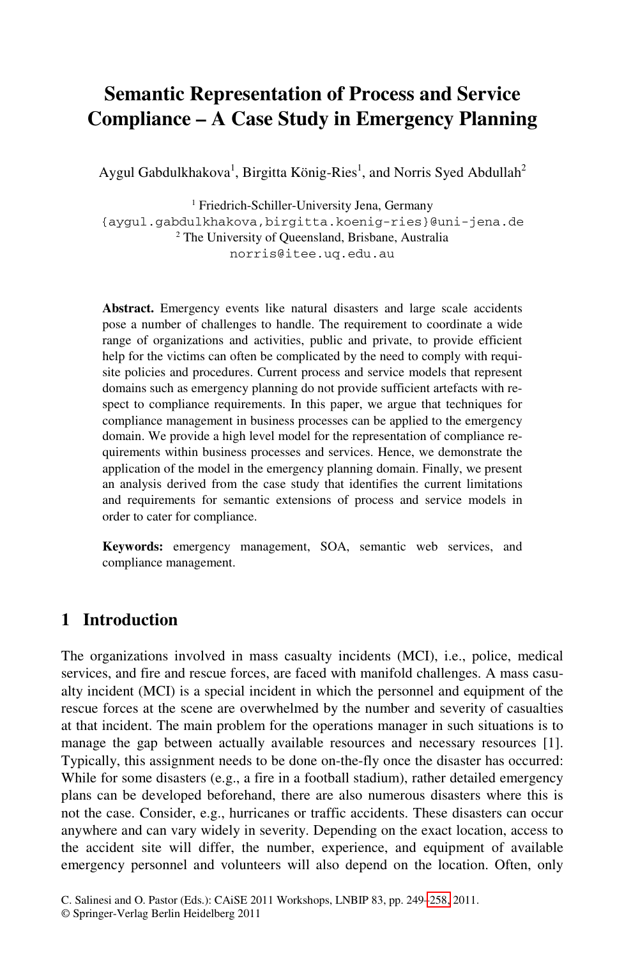# **Semantic Representation of Process and Service Compliance – A Case Study in Emergency Planning**

Aygul Gabdulkhakova<sup>1</sup>, Birgitta König-Ries<sup>1</sup>, and Norris Syed Abdullah<sup>2</sup>

<sup>1</sup> Friedrich-Schiller-University Jena, Germany {aygul.gabdulkhakova,birgitta.koenig-ries}@uni-jena.de 2 The University of Queensland, Brisbane, Australia norris@itee.uq.edu.au

**Abstract.** Emergency events like natural disasters and large scale accidents pose a number of challenges to handle. The requirement to coordinate a wide range of organizations and activities, public and private, to provide efficient help for the victims can often be complicated by the need to comply with requisite policies and procedures. Current process and service models that represent domains such as emergency planning do not provide sufficient artefacts with respect to compliance requirements. In this paper, we argue that techniques for compliance management in business processes can be applied to the emergency domain. We provide a high level model for the representation of compliance requirements within business processes and services. Hence, we demonstrate the application of the model in the emergency planning domain. Finally, we present an analysis derived from the case study that identifies the current limitations and requirements for semantic extensions of process and service models in order to cater for compliance.

**Keywords:** emergency management, SOA, semantic web services, and compliance management.

# **1 Introduction**

The organizations involved in mass casualty incidents (MCI), i.e., police, medical services, and fire and rescue forces, are faced with manifold challenges. A mass casualty incident (MCI) is a special incident in which the personnel and equipment of the rescue forces at the scene are overwhelmed by the number and severity of casualties at that incident. The main problem for the operations manager in such situations is to manage the gap between actually available resources and necessary resources [1]. Typically, this assignment needs to be done on-the-fly once the disaster has occurred: While for some disasters (e.g., a fire in a football stadium), rather detailed emergency plans can be developed beforehand, there are also numerous disasters where this is not the case. Consider, e.g., hurricanes or traffic accidents. These disasters can occur anywhere and can vary widely in severity. Depending on the exact location, access to the accident site will differ, the number, experience, and equipment of available emergency personnel and volunteers will also depend on the location. Often, only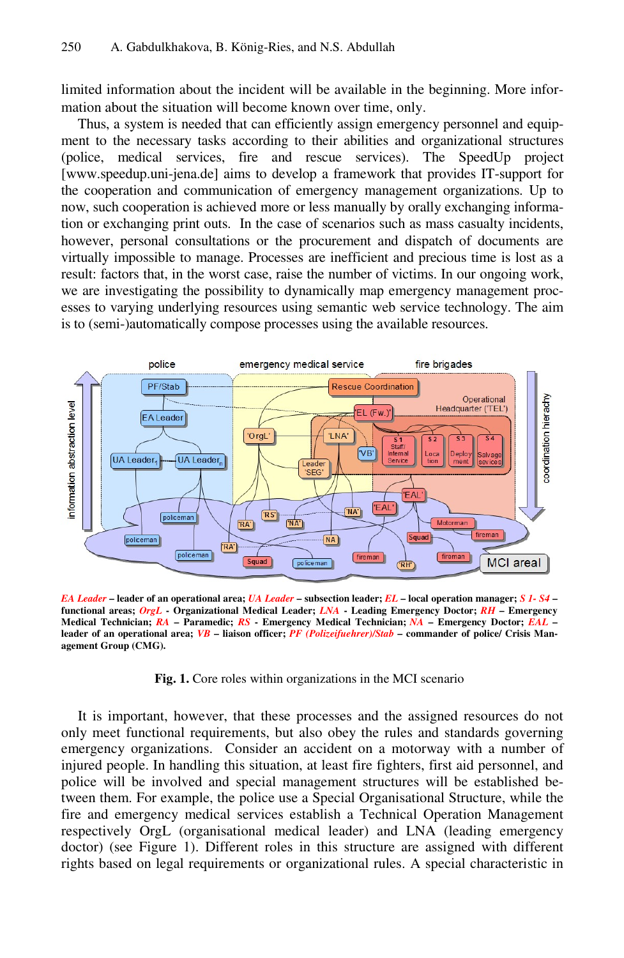limited information about the incident will be available in the beginning. More information about the situation will become known over time, only.

Thus, a system is needed that can efficiently assign emergency personnel and equipment to the necessary tasks according to their abilities and organizational structures (police, medical services, fire and rescue services). The SpeedUp project [www.speedup.uni-jena.de] aims to develop a framework that provides IT-support for the cooperation and communication of emergency management organizations. Up to now, such cooperation is achieved more or less manually by orally exchanging information or exchanging print outs. In the case of scenarios such as mass casualty incidents, however, personal consultations or the procurement and dispatch of documents are virtually impossible to manage. Processes are inefficient and precious time is lost as a result: factors that, in the worst case, raise the number of victims. In our ongoing work, we are investigating the possibility to dynamically map emergency management processes to varying underlying resources using semantic web service technology. The aim is to (semi-)automatically compose processes using the available resources.



*EA Leader* **– leader of an operational area;** *UA Leader* **– subsection leader;** *EL* **– local operation manager;** *S 1- S4* **– functional areas;** *OrgL* **- Organizational Medical Leader;** *LNA* **- Leading Emergency Doctor;** *RH* **– Emergency Medical Technician;** *RA* **– Paramedic;** *RS* **- Emergency Medical Technician;** *NA* **– Emergency Doctor;** *EAL* **– leader of an operational area;** *VB* **– liaison officer;** *PF (Polizeifuehrer)/Stab* **– commander of police/ Crisis Management Group (CMG).**

**Fig. 1.** Core roles within organizations in the MCI scenario

It is important, however, that these processes and the assigned resources do not only meet functional requirements, but also obey the rules and standards governing emergency organizations. Consider an accident on a motorway with a number of injured people. In handling this situation, at least fire fighters, first aid personnel, and police will be involved and special management structures will be established between them. For example, the police use a Special Organisational Structure, while the fire and emergency medical services establish a Technical Operation Management respectively OrgL (organisational medical leader) and LNA (leading emergency doctor) (see Figure 1). Different roles in this structure are assigned with different rights based on legal requirements or organizational rules. A special characteristic in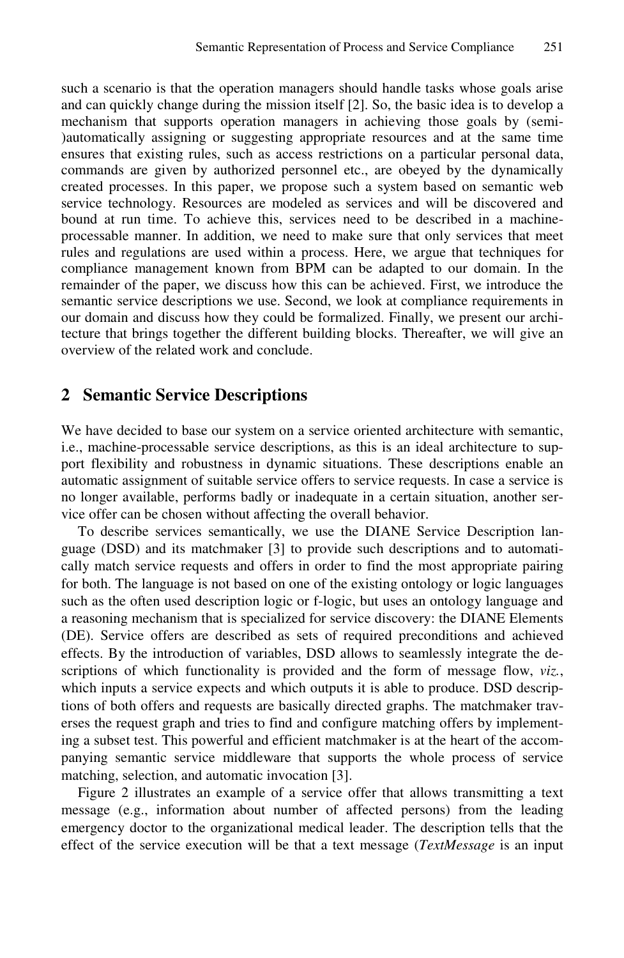such a scenario is that the operation managers should handle tasks whose goals arise and can quickly change during the mission itself [2]. So, the basic idea is to develop a mechanism that supports operation managers in achieving those goals by (semi- )automatically assigning or suggesting appropriate resources and at the same time ensures that existing rules, such as access restrictions on a particular personal data, commands are given by authorized personnel etc., are obeyed by the dynamically created processes. In this paper, we propose such a system based on semantic web service technology. Resources are modeled as services and will be discovered and bound at run time. To achieve this, services need to be described in a machineprocessable manner. In addition, we need to make sure that only services that meet rules and regulations are used within a process. Here, we argue that techniques for compliance management known from BPM can be adapted to our domain. In the remainder of the paper, we discuss how this can be achieved. First, we introduce the semantic service descriptions we use. Second, we look at compliance requirements in our domain and discuss how they could be formalized. Finally, we present our architecture that brings together the different building blocks. Thereafter, we will give an overview of the related work and conclude.

#### **2 Semantic Service Descriptions**

We have decided to base our system on a service oriented architecture with semantic, i.e., machine-processable service descriptions, as this is an ideal architecture to support flexibility and robustness in dynamic situations. These descriptions enable an automatic assignment of suitable service offers to service requests. In case a service is no longer available, performs badly or inadequate in a certain situation, another service offer can be chosen without affecting the overall behavior.

To describe services semantically, we use the DIANE Service Description language (DSD) and its matchmaker [3] to provide such descriptions and to automatically match service requests and offers in order to find the most appropriate pairing for both. The language is not based on one of the existing ontology or logic languages such as the often used description logic or f-logic, but uses an ontology language and a reasoning mechanism that is specialized for service discovery: the DIANE Elements (DE). Service offers are described as sets of required preconditions and achieved effects. By the introduction of variables, DSD allows to seamlessly integrate the descriptions of which functionality is provided and the form of message flow, *viz.*, which inputs a service expects and which outputs it is able to produce. DSD descriptions of both offers and requests are basically directed graphs. The matchmaker traverses the request graph and tries to find and configure matching offers by implementing a subset test. This powerful and efficient matchmaker is at the heart of the accompanying semantic service middleware that supports the whole process of service matching, selection, and automatic invocation [3].

Figure 2 illustrates an example of a service offer that allows transmitting a text message (e.g., information about number of affected persons) from the leading emergency doctor to the organizational medical leader. The description tells that the effect of the service execution will be that a text message (*TextMessage* is an input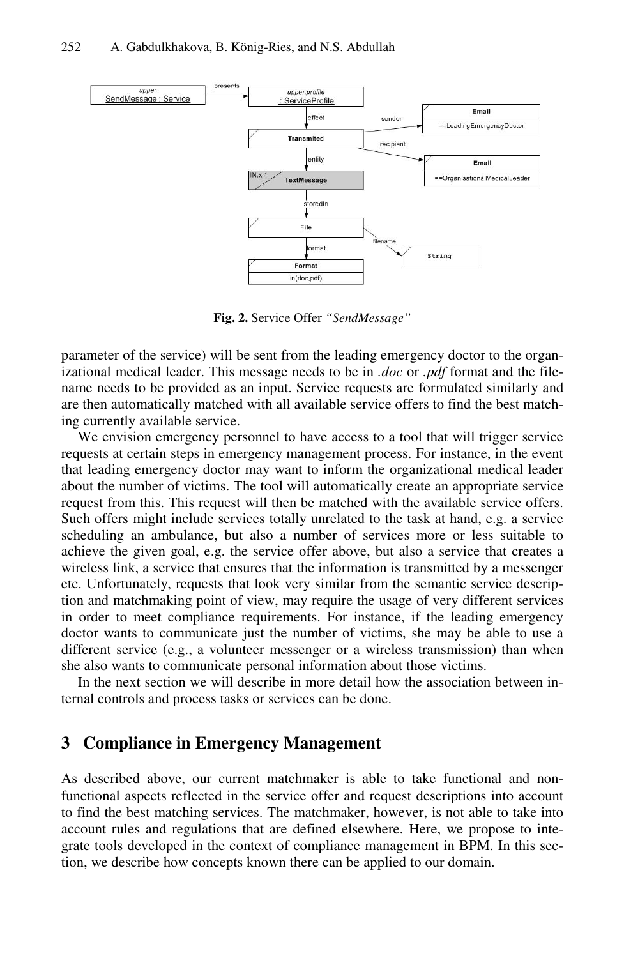#### 252 A. Gabdulkhakova, B. König-Ries, and N.S. Abdullah



**Fig. 2.** Service Offer *"SendMessage"*

parameter of the service) will be sent from the leading emergency doctor to the organizational medical leader. This message needs to be in *.doc* or *.pdf* format and the filename needs to be provided as an input. Service requests are formulated similarly and are then automatically matched with all available service offers to find the best matching currently available service.

We envision emergency personnel to have access to a tool that will trigger service requests at certain steps in emergency management process. For instance, in the event that leading emergency doctor may want to inform the organizational medical leader about the number of victims. The tool will automatically create an appropriate service request from this. This request will then be matched with the available service offers. Such offers might include services totally unrelated to the task at hand, e.g. a service scheduling an ambulance, but also a number of services more or less suitable to achieve the given goal, e.g. the service offer above, but also a service that creates a wireless link, a service that ensures that the information is transmitted by a messenger etc. Unfortunately, requests that look very similar from the semantic service description and matchmaking point of view, may require the usage of very different services in order to meet compliance requirements. For instance, if the leading emergency doctor wants to communicate just the number of victims, she may be able to use a different service (e.g., a volunteer messenger or a wireless transmission) than when she also wants to communicate personal information about those victims.

In the next section we will describe in more detail how the association between internal controls and process tasks or services can be done.

#### **3 Compliance in Emergency Management**

As described above, our current matchmaker is able to take functional and nonfunctional aspects reflected in the service offer and request descriptions into account to find the best matching services. The matchmaker, however, is not able to take into account rules and regulations that are defined elsewhere. Here, we propose to integrate tools developed in the context of compliance management in BPM. In this section, we describe how concepts known there can be applied to our domain.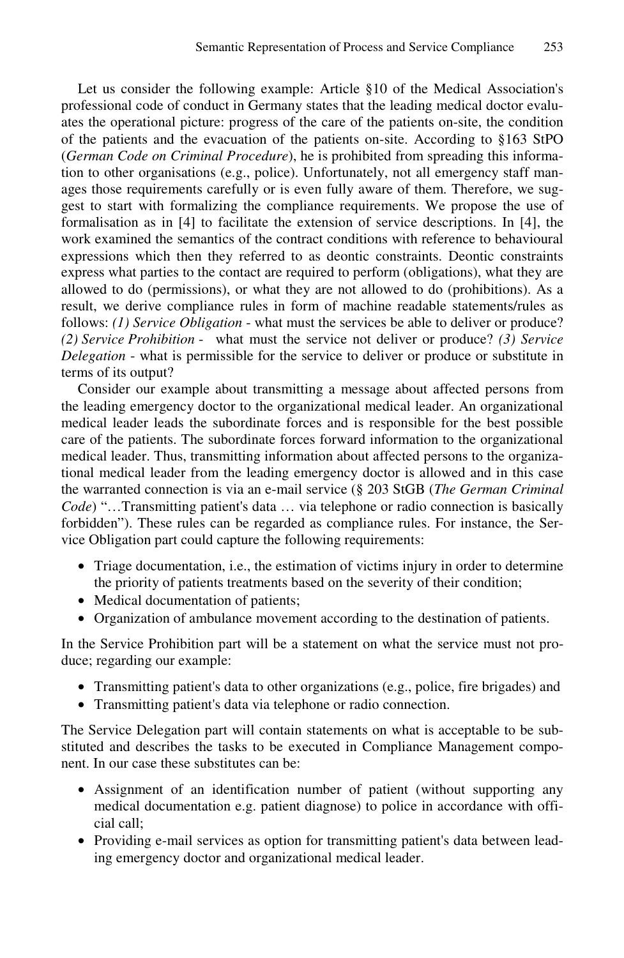Let us consider the following example: Article §10 of the Medical Association's professional code of conduct in Germany states that the leading medical doctor evaluates the operational picture: progress of the care of the patients on-site, the condition of the patients and the evacuation of the patients on-site. According to §163 StPO (*German Code on Criminal Procedure*), he is prohibited from spreading this information to other organisations (e.g., police). Unfortunately, not all emergency staff manages those requirements carefully or is even fully aware of them. Therefore, we suggest to start with formalizing the compliance requirements. We propose the use of formalisation as in [4] to facilitate the extension of service descriptions. In [4], the work examined the semantics of the contract conditions with reference to behavioural expressions which then they referred to as deontic constraints. Deontic constraints express what parties to the contact are required to perform (obligations), what they are allowed to do (permissions), or what they are not allowed to do (prohibitions). As a result, we derive compliance rules in form of machine readable statements/rules as follows: *(1) Service Obligation* - what must the services be able to deliver or produce? *(2) Service Prohibition* - what must the service not deliver or produce? *(3) Service Delegation* - what is permissible for the service to deliver or produce or substitute in terms of its output?

Consider our example about transmitting a message about affected persons from the leading emergency doctor to the organizational medical leader. An organizational medical leader leads the subordinate forces and is responsible for the best possible care of the patients. The subordinate forces forward information to the organizational medical leader. Thus, transmitting information about affected persons to the organizational medical leader from the leading emergency doctor is allowed and in this case the warranted connection is via an e-mail service (§ 203 StGB (*The German Criminal Code*) "…Transmitting patient's data … via telephone or radio connection is basically forbidden"). These rules can be regarded as compliance rules. For instance, the Service Obligation part could capture the following requirements:

- Triage documentation, i.e., the estimation of victims injury in order to determine the priority of patients treatments based on the severity of their condition;
- Medical documentation of patients;
- Organization of ambulance movement according to the destination of patients.

In the Service Prohibition part will be a statement on what the service must not produce; regarding our example:

- Transmitting patient's data to other organizations (e.g., police, fire brigades) and
- Transmitting patient's data via telephone or radio connection.

The Service Delegation part will contain statements on what is acceptable to be substituted and describes the tasks to be executed in Compliance Management component. In our case these substitutes can be:

- Assignment of an identification number of patient (without supporting any medical documentation e.g. patient diagnose) to police in accordance with official call;
- Providing e-mail services as option for transmitting patient's data between leading emergency doctor and organizational medical leader.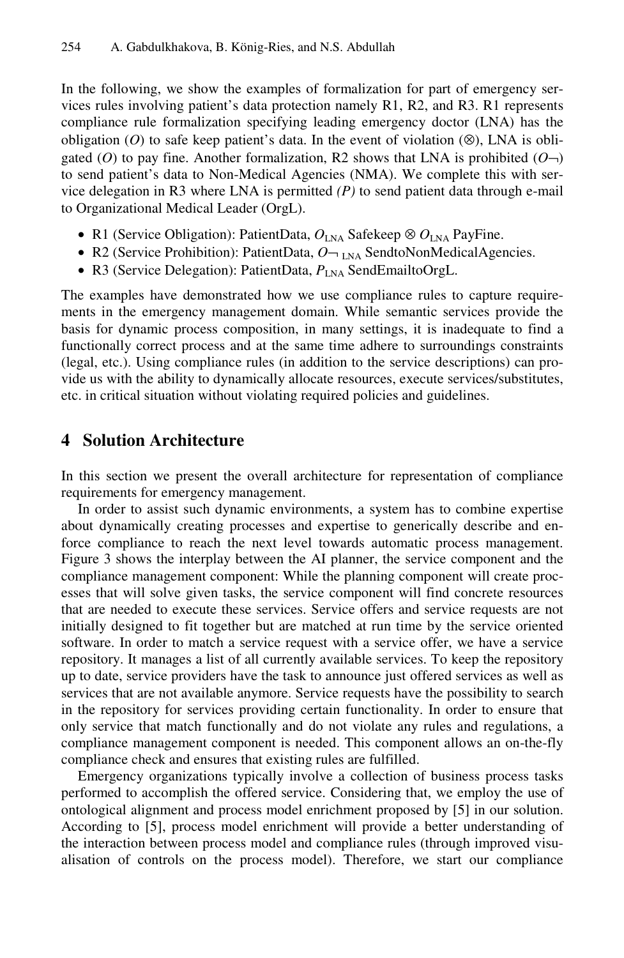In the following, we show the examples of formalization for part of emergency services rules involving patient's data protection namely R1, R2, and R3. R1 represents compliance rule formalization specifying leading emergency doctor (LNA) has the obligation (*O*) to safe keep patient's data. In the event of violation (⊗), LNA is obligated (*O*) to pay fine. Another formalization, R2 shows that LNA is prohibited ( $O\neg$ ) to send patient's data to Non-Medical Agencies (NMA). We complete this with service delegation in R3 where LNA is permitted *(P)* to send patient data through e-mail to Organizational Medical Leader (OrgL).

- R1 (Service Obligation): PatientData,  $O_{LNA}$  Safekeep ⊗  $O_{LNA}$  PayFine.
- R2 (Service Prohibition): PatientData,  $O_{\square_{\text{INA}}}$  SendtoNonMedicalAgencies.
- R3 (Service Delegation): PatientData,  $P_{LNA}$  SendEmailtoOrgL.

The examples have demonstrated how we use compliance rules to capture requirements in the emergency management domain. While semantic services provide the basis for dynamic process composition, in many settings, it is inadequate to find a functionally correct process and at the same time adhere to surroundings constraints (legal, etc.). Using compliance rules (in addition to the service descriptions) can provide us with the ability to dynamically allocate resources, execute services/substitutes, etc. in critical situation without violating required policies and guidelines.

### **4 Solution Architecture**

In this section we present the overall architecture for representation of compliance requirements for emergency management.

In order to assist such dynamic environments, a system has to combine expertise about dynamically creating processes and expertise to generically describe and enforce compliance to reach the next level towards automatic process management. Figure 3 shows the interplay between the AI planner, the service component and the compliance management component: While the planning component will create processes that will solve given tasks, the service component will find concrete resources that are needed to execute these services. Service offers and service requests are not initially designed to fit together but are matched at run time by the service oriented software. In order to match a service request with a service offer, we have a service repository. It manages a list of all currently available services. To keep the repository up to date, service providers have the task to announce just offered services as well as services that are not available anymore. Service requests have the possibility to search in the repository for services providing certain functionality. In order to ensure that only service that match functionally and do not violate any rules and regulations, a compliance management component is needed. This component allows an on-the-fly compliance check and ensures that existing rules are fulfilled.

Emergency organizations typically involve a collection of business process tasks performed to accomplish the offered service. Considering that, we employ the use of ontological alignment and process model enrichment proposed by [5] in our solution. According to [5], process model enrichment will provide a better understanding of the interaction between process model and compliance rules (through improved visualisation of controls on the process model). Therefore, we start our compliance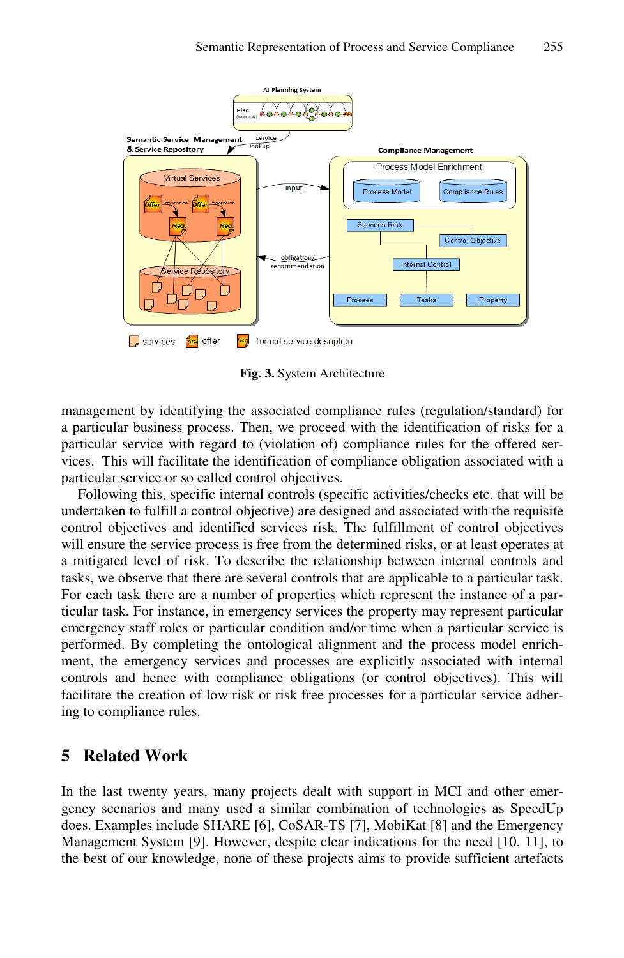

**Fig. 3.** System Architecture

management by identifying the associated compliance rules (regulation/standard) for a particular business process. Then, we proceed with the identification of risks for a particular service with regard to (violation of) compliance rules for the offered services. This will facilitate the identification of compliance obligation associated with a particular service or so called control objectives.

Following this, specific internal controls (specific activities/checks etc. that will be undertaken to fulfill a control objective) are designed and associated with the requisite control objectives and identified services risk. The fulfillment of control objectives will ensure the service process is free from the determined risks, or at least operates at a mitigated level of risk. To describe the relationship between internal controls and tasks, we observe that there are several controls that are applicable to a particular task. For each task there are a number of properties which represent the instance of a particular task. For instance, in emergency services the property may represent particular emergency staff roles or particular condition and/or time when a particular service is performed. By completing the ontological alignment and the process model enrichment, the emergency services and processes are explicitly associated with internal controls and hence with compliance obligations (or control objectives). This will facilitate the creation of low risk or risk free processes for a particular service adhering to compliance rules.

# **5 Related Work**

In the last twenty years, many projects dealt with support in MCI and other emergency scenarios and many used a similar combination of technologies as SpeedUp does. Examples include SHARE [6], CoSAR-TS [7], MobiKat [8] and the Emergency Management System [9]. However, despite clear indications for the need [10, 11], to the best of our knowledge, none of these projects aims to provide sufficient artefacts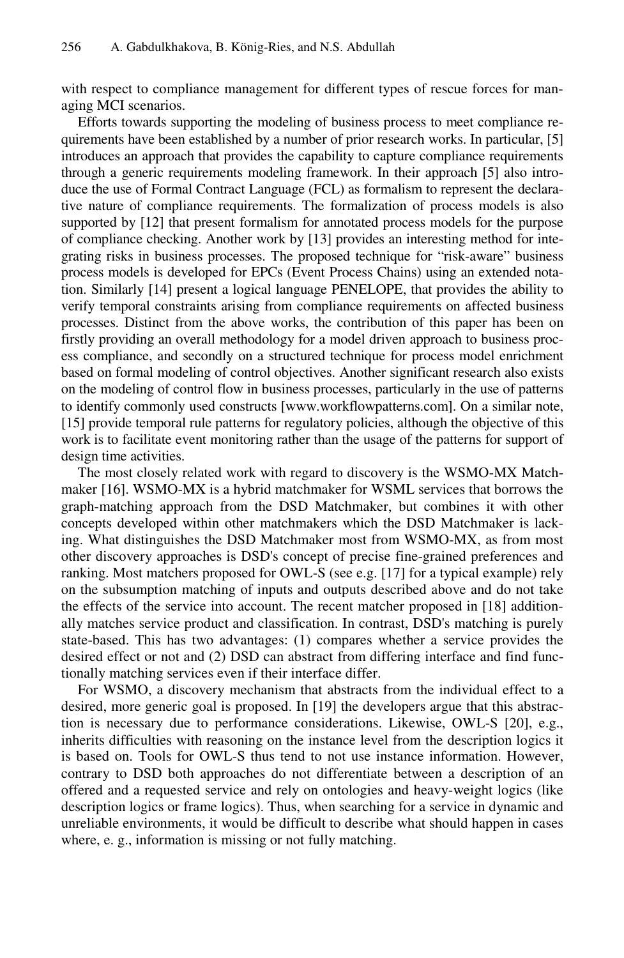with respect to compliance management for different types of rescue forces for managing MCI scenarios.

Efforts towards supporting the modeling of business process to meet compliance requirements have been established by a number of prior research works. In particular, [5] introduces an approach that provides the capability to capture compliance requirements through a generic requirements modeling framework. In their approach [5] also introduce the use of Formal Contract Language (FCL) as formalism to represent the declarative nature of compliance requirements. The formalization of process models is also supported by [12] that present formalism for annotated process models for the purpose of compliance checking. Another work by [13] provides an interesting method for integrating risks in business processes. The proposed technique for "risk-aware" business process models is developed for EPCs (Event Process Chains) using an extended notation. Similarly [14] present a logical language PENELOPE, that provides the ability to verify temporal constraints arising from compliance requirements on affected business processes. Distinct from the above works, the contribution of this paper has been on firstly providing an overall methodology for a model driven approach to business process compliance, and secondly on a structured technique for process model enrichment based on formal modeling of control objectives. Another significant research also exists on the modeling of control flow in business processes, particularly in the use of patterns to identify commonly used constructs [www.workflowpatterns.com]. On a similar note, [15] provide temporal rule patterns for regulatory policies, although the objective of this work is to facilitate event monitoring rather than the usage of the patterns for support of design time activities.

The most closely related work with regard to discovery is the WSMO-MX Matchmaker [16]. WSMO-MX is a hybrid matchmaker for WSML services that borrows the graph-matching approach from the DSD Matchmaker, but combines it with other concepts developed within other matchmakers which the DSD Matchmaker is lacking. What distinguishes the DSD Matchmaker most from WSMO-MX, as from most other discovery approaches is DSD's concept of precise fine-grained preferences and ranking. Most matchers proposed for OWL-S (see e.g. [17] for a typical example) rely on the subsumption matching of inputs and outputs described above and do not take the effects of the service into account. The recent matcher proposed in [18] additionally matches service product and classification. In contrast, DSD's matching is purely state-based. This has two advantages: (1) compares whether a service provides the desired effect or not and (2) DSD can abstract from differing interface and find functionally matching services even if their interface differ.

For WSMO, a discovery mechanism that abstracts from the individual effect to a desired, more generic goal is proposed. In [19] the developers argue that this abstraction is necessary due to performance considerations. Likewise, OWL-S [20], e.g., inherits difficulties with reasoning on the instance level from the description logics it is based on. Tools for OWL-S thus tend to not use instance information. However, contrary to DSD both approaches do not differentiate between a description of an offered and a requested service and rely on ontologies and heavy-weight logics (like description logics or frame logics). Thus, when searching for a service in dynamic and unreliable environments, it would be difficult to describe what should happen in cases where, e. g., information is missing or not fully matching.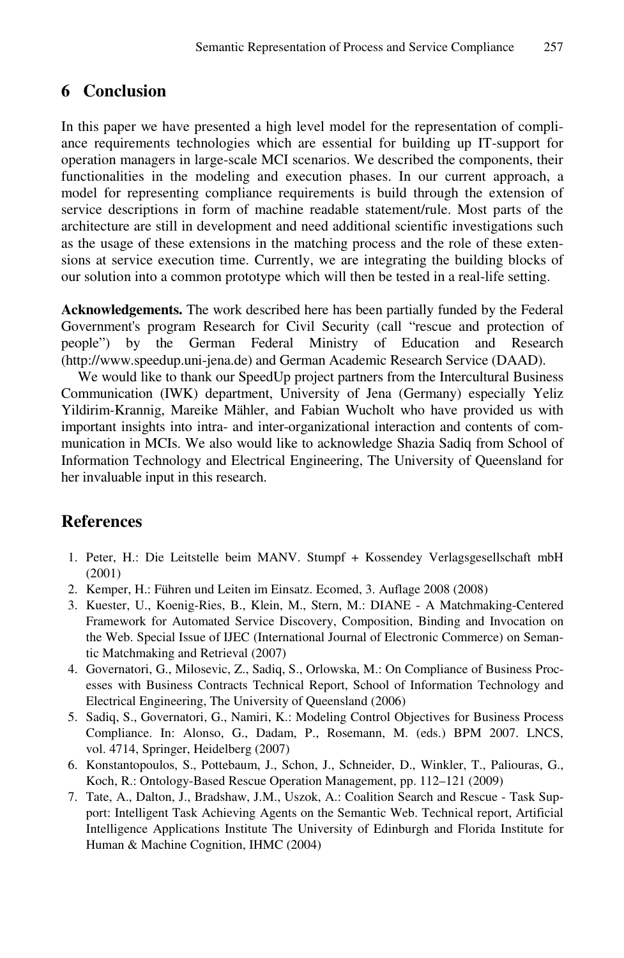# **6 Conclusion**

In this paper we have presented a high level model for the representation of compliance requirements technologies which are essential for building up IT-support for operation managers in large-scale MCI scenarios. We described the components, their functionalities in the modeling and execution phases. In our current approach, a model for representing compliance requirements is build through the extension of service descriptions in form of machine readable statement/rule. Most parts of the architecture are still in development and need additional scientific investigations such as the usage of these extensions in the matching process and the role of these extensions at service execution time. Currently, we are integrating the building blocks of our solution into a common prototype which will then be tested in a real-life setting.

**Acknowledgements.** The work described here has been partially funded by the Federal Government's program Research for Civil Security (call "rescue and protection of people") by the German Federal Ministry of Education and Research (http://www.speedup.uni-jena.de) and German Academic Research Service (DAAD).

We would like to thank our SpeedUp project partners from the Intercultural Business Communication (IWK) department, University of Jena (Germany) especially Yeliz Yildirim-Krannig, Mareike Mähler, and Fabian Wucholt who have provided us with important insights into intra- and inter-organizational interaction and contents of communication in MCIs. We also would like to acknowledge Shazia Sadiq from School of Information Technology and Electrical Engineering, The University of Queensland for her invaluable input in this research.

# **References**

- 1. Peter, H.: Die Leitstelle beim MANV. Stumpf + Kossendey Verlagsgesellschaft mbH (2001)
- 2. Kemper, H.: Führen und Leiten im Einsatz. Ecomed, 3. Auflage 2008 (2008)
- 3. Kuester, U., Koenig-Ries, B., Klein, M., Stern, M.: DIANE A Matchmaking-Centered Framework for Automated Service Discovery, Composition, Binding and Invocation on the Web. Special Issue of IJEC (International Journal of Electronic Commerce) on Semantic Matchmaking and Retrieval (2007)
- 4. Governatori, G., Milosevic, Z., Sadiq, S., Orlowska, M.: On Compliance of Business Processes with Business Contracts Technical Report, School of Information Technology and Electrical Engineering, The University of Queensland (2006)
- 5. Sadiq, S., Governatori, G., Namiri, K.: Modeling Control Objectives for Business Process Compliance. In: Alonso, G., Dadam, P., Rosemann, M. (eds.) BPM 2007. LNCS, vol. 4714, Springer, Heidelberg (2007)
- 6. Konstantopoulos, S., Pottebaum, J., Schon, J., Schneider, D., Winkler, T., Paliouras, G., Koch, R.: Ontology-Based Rescue Operation Management, pp. 112–121 (2009)
- 7. Tate, A., Dalton, J., Bradshaw, J.M., Uszok, A.: Coalition Search and Rescue Task Support: Intelligent Task Achieving Agents on the Semantic Web. Technical report, Artificial Intelligence Applications Institute The University of Edinburgh and Florida Institute for Human & Machine Cognition, IHMC (2004)